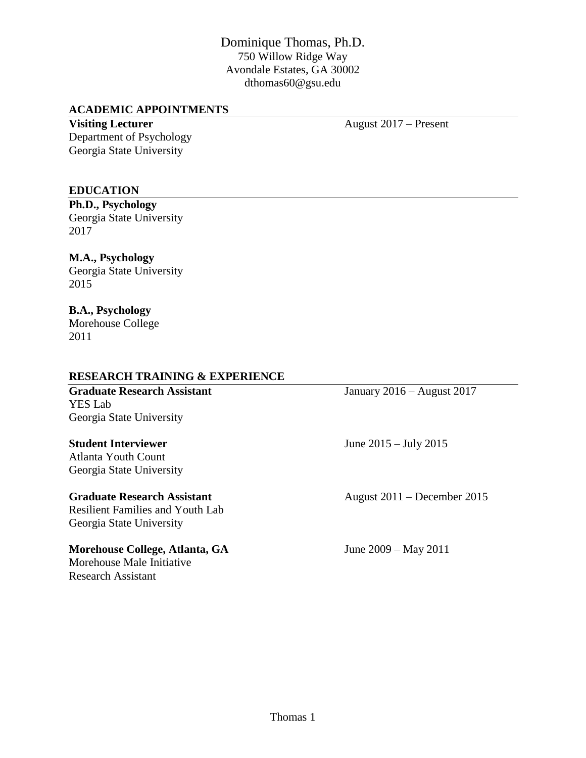# Dominique Thomas, Ph.D. 750 Willow Ridge Way Avondale Estates, GA 30002 dthomas60@gsu.edu

#### **ACADEMIC APPOINTMENTS**

**Visiting Lecturer** August 2017 – Present Department of Psychology Georgia State University

#### **EDUCATION**

**Ph.D., Psychology** Georgia State University 2017

# **M.A., Psychology**

Georgia State University 2015

#### **B.A., Psychology** Morehouse College 2011

#### **RESEARCH TRAINING & EXPERIENCE**

**Graduate Research Assistant** January 2016 – August 2017 YES Lab Georgia State University

Atlanta Youth Count Georgia State University

Resilient Families and Youth Lab Georgia State University

#### **Morehouse College, Atlanta, GA** June 2009 – May 2011

Morehouse Male Initiative Research Assistant

**Student Interviewer** June 2015 – July 2015

Graduate Research Assistant August 2011 – December 2015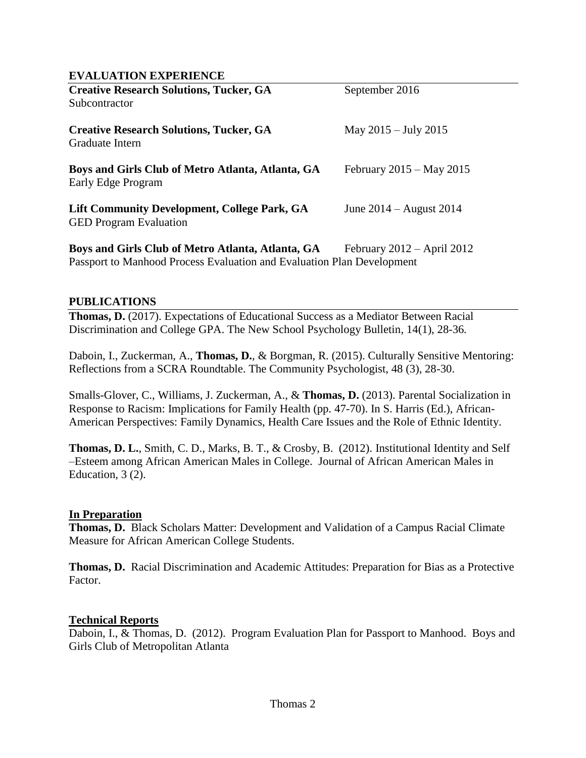#### **EVALUATION EXPERIENCE**

| <b>Creative Research Solutions, Tucker, GA</b>                                | September 2016                 |
|-------------------------------------------------------------------------------|--------------------------------|
| Subcontractor                                                                 |                                |
| <b>Creative Research Solutions, Tucker, GA</b><br>Graduate Intern             | May $2015 - \text{July } 2015$ |
| Boys and Girls Club of Metro Atlanta, Atlanta, GA<br>Early Edge Program       | February $2015 - May 2015$     |
| Lift Community Development, College Park, GA<br><b>GED Program Evaluation</b> | June $2014 -$ August $2014$    |

**Boys and Girls Club of Metro Atlanta, Atlanta, GA** February 2012 – April 2012 Passport to Manhood Process Evaluation and Evaluation Plan Development

#### **PUBLICATIONS**

**Thomas, D.** (2017). Expectations of Educational Success as a Mediator Between Racial Discrimination and College GPA. The New School Psychology Bulletin, 14(1), 28-36*.*

Daboin, I., Zuckerman, A., **Thomas, D.**, & Borgman, R. (2015). Culturally Sensitive Mentoring: Reflections from a SCRA Roundtable. The Community Psychologist, 48 (3), 28-30.

Smalls-Glover, C., Williams, J. Zuckerman, A., & **Thomas, D.** (2013). Parental Socialization in Response to Racism: Implications for Family Health (pp. 47-70). In S. Harris (Ed.), African-American Perspectives: Family Dynamics, Health Care Issues and the Role of Ethnic Identity.

**Thomas, D. L.**, Smith, C. D., Marks, B. T., & Crosby, B. (2012). Institutional Identity and Self –Esteem among African American Males in College. Journal of African American Males in Education, 3 (2).

#### **In Preparation**

**Thomas, D.** Black Scholars Matter: Development and Validation of a Campus Racial Climate Measure for African American College Students.

**Thomas, D.** Racial Discrimination and Academic Attitudes: Preparation for Bias as a Protective Factor.

#### **Technical Reports**

Daboin, I., & Thomas, D. (2012). Program Evaluation Plan for Passport to Manhood. Boys and Girls Club of Metropolitan Atlanta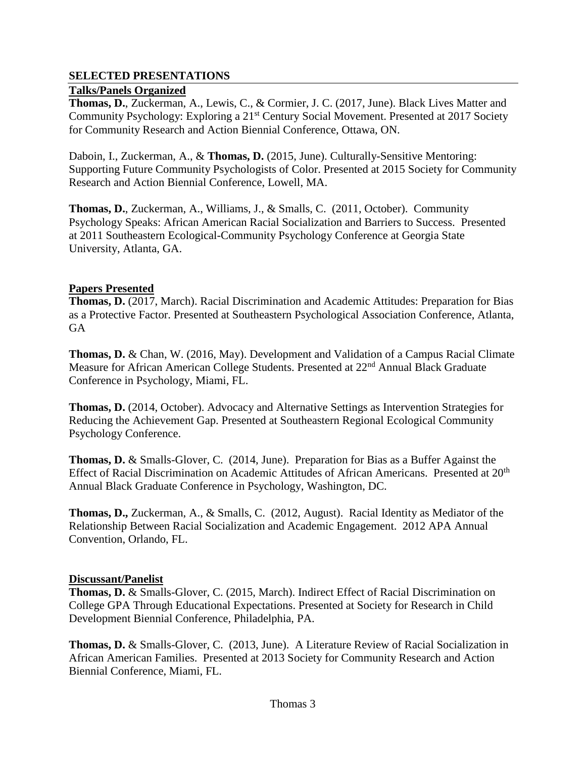# **SELECTED PRESENTATIONS**

# **Talks/Panels Organized**

**Thomas, D.**, Zuckerman, A., Lewis, C., & Cormier, J. C. (2017, June). Black Lives Matter and Community Psychology: Exploring a 21<sup>st</sup> Century Social Movement. Presented at 2017 Society for Community Research and Action Biennial Conference, Ottawa, ON.

Daboin, I., Zuckerman, A., & **Thomas, D.** (2015, June). Culturally-Sensitive Mentoring: Supporting Future Community Psychologists of Color. Presented at 2015 Society for Community Research and Action Biennial Conference, Lowell, MA.

**Thomas, D.**, Zuckerman, A., Williams, J., & Smalls, C. (2011, October). Community Psychology Speaks: African American Racial Socialization and Barriers to Success. Presented at 2011 Southeastern Ecological-Community Psychology Conference at Georgia State University, Atlanta, GA.

### **Papers Presented**

**Thomas, D.** (2017, March). Racial Discrimination and Academic Attitudes: Preparation for Bias as a Protective Factor. Presented at Southeastern Psychological Association Conference, Atlanta, GA

**Thomas, D.** & Chan, W. (2016, May). Development and Validation of a Campus Racial Climate Measure for African American College Students. Presented at 22nd Annual Black Graduate Conference in Psychology, Miami, FL.

**Thomas, D.** (2014, October). Advocacy and Alternative Settings as Intervention Strategies for Reducing the Achievement Gap. Presented at Southeastern Regional Ecological Community Psychology Conference.

**Thomas, D.** & Smalls-Glover, C. (2014, June). Preparation for Bias as a Buffer Against the Effect of Racial Discrimination on Academic Attitudes of African Americans. Presented at 20<sup>th</sup> Annual Black Graduate Conference in Psychology, Washington, DC.

**Thomas, D.,** Zuckerman, A., & Smalls, C. (2012, August). Racial Identity as Mediator of the Relationship Between Racial Socialization and Academic Engagement. 2012 APA Annual Convention, Orlando, FL.

### **Discussant/Panelist**

**Thomas, D.** & Smalls-Glover, C. (2015, March). Indirect Effect of Racial Discrimination on College GPA Through Educational Expectations. Presented at Society for Research in Child Development Biennial Conference, Philadelphia, PA.

**Thomas, D.** & Smalls-Glover, C.(2013, June). A Literature Review of Racial Socialization in African American Families. Presented at 2013 Society for Community Research and Action Biennial Conference, Miami, FL.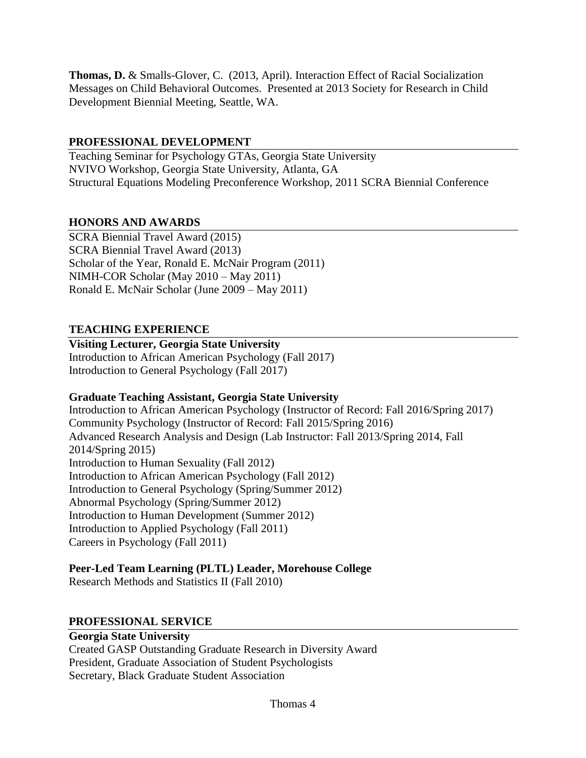**Thomas, D.** & Smalls-Glover, C. (2013, April). Interaction Effect of Racial Socialization Messages on Child Behavioral Outcomes. Presented at 2013 Society for Research in Child Development Biennial Meeting, Seattle, WA.

# **PROFESSIONAL DEVELOPMENT**

Teaching Seminar for Psychology GTAs, Georgia State University NVIVO Workshop, Georgia State University, Atlanta, GA Structural Equations Modeling Preconference Workshop, 2011 SCRA Biennial Conference

# **HONORS AND AWARDS**

SCRA Biennial Travel Award (2015) SCRA Biennial Travel Award (2013) Scholar of the Year, Ronald E. McNair Program (2011) NIMH-COR Scholar (May 2010 – May 2011) Ronald E. McNair Scholar (June 2009 – May 2011)

# **TEACHING EXPERIENCE**

**Visiting Lecturer, Georgia State University** Introduction to African American Psychology (Fall 2017) Introduction to General Psychology (Fall 2017)

# **Graduate Teaching Assistant, Georgia State University**

Introduction to African American Psychology (Instructor of Record: Fall 2016/Spring 2017) Community Psychology (Instructor of Record: Fall 2015/Spring 2016) Advanced Research Analysis and Design (Lab Instructor: Fall 2013/Spring 2014, Fall 2014/Spring 2015) Introduction to Human Sexuality (Fall 2012) Introduction to African American Psychology (Fall 2012) Introduction to General Psychology (Spring/Summer 2012) Abnormal Psychology (Spring/Summer 2012) Introduction to Human Development (Summer 2012) Introduction to Applied Psychology (Fall 2011) Careers in Psychology (Fall 2011)

# **Peer-Led Team Learning (PLTL) Leader, Morehouse College**

Research Methods and Statistics II (Fall 2010)

# **PROFESSIONAL SERVICE**

# **Georgia State University**

Created GASP Outstanding Graduate Research in Diversity Award President, Graduate Association of Student Psychologists Secretary, Black Graduate Student Association